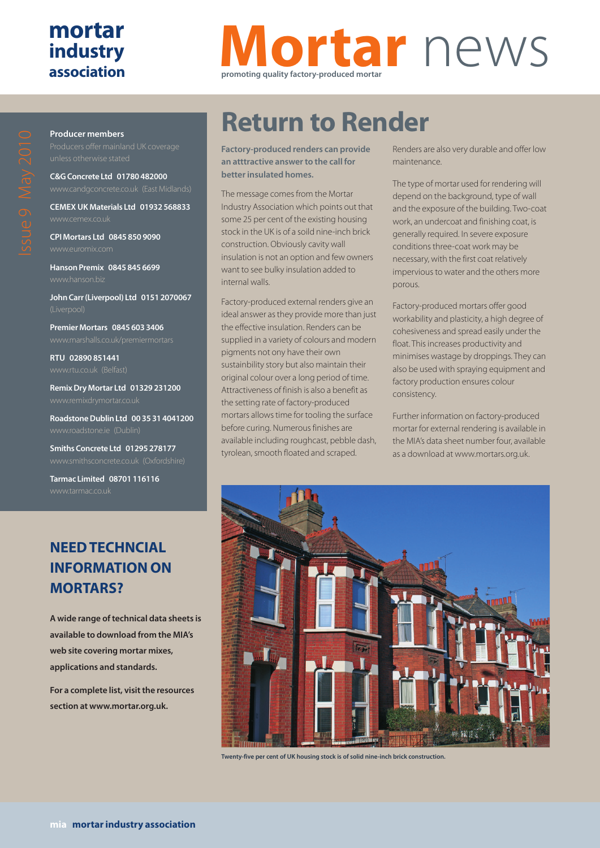### **mortar industry association**

# **Mortar** news **promoting quality factory-produced mortar**

**Producer members**

**C&G Concrete Ltd 01780 482000**

**CEMEX UK Materials Ltd 01932 568833**

**CPI Mortars Ltd 0845 850 9090**

**Hanson Premix 0845 845 6699**

**John Carr (Liverpool) Ltd 0151 2070067**

**Premier Mortars 0845 603 3406**

**RTU 02890 851441**

**Remix Dry Mortar Ltd 01329 231200**

**Roadstone Dublin Ltd 00 35 31 4041200**

**Smiths Concrete Ltd 01295 278177** www.smithsconcrete.co.uk (Oxfordshire)

**Tarmac Limited 08701 116116**

#### **NEED TECHNCIAL INFORMATION ON MORTARS?**

**A wide range of technical data sheets is available to download from the MIA's web site covering mortar mixes, applications and standards.**

**For a complete list, visit the resources section at www.mortar.org.uk.**

# **Return to Render**

**Factory-produced renders can provide an atttractive answer to the call for better insulated homes.**

The message comes from the Mortar Industry Association which points out that some 25 per cent of the existing housing stock in the UK is of a soild nine-inch brick construction. Obviously cavity wall insulation is not an option and few owners want to see bulky insulation added to internal walls.

Factory-produced external renders give an ideal answer as they provide more than just the effective insulation. Renders can be supplied in a variety of colours and modern pigments not ony have their own sustainbility story but also maintain their original colour over a long period of time. Attractiveness of finish is also a benefit as the setting rate of factory-produced mortars allows time for tooling the surface before curing. Numerous finishes are available including roughcast, pebble dash, tyrolean, smooth floated and scraped.

Renders are also very durable and offer low maintenance.

The type of mortar used for rendering will depend on the background, type of wall and the exposure of the building. Two-coat work, an undercoat and finishing coat, is generally required. In severe exposure conditions three-coat work may be necessary, with the first coat relatively impervious to water and the others more porous.

Factory-produced mortars offer good workability and plasticity, a high degree of cohesiveness and spread easily under the float. This increases productivity and minimises wastage by droppings. They can also be used with spraying equipment and factory production ensures colour consistency.

Further information on factory-produced mortar for external rendering is available in the MIA's data sheet number four, available as a download at www.mortars.org.uk.



**Twenty-five per cent of UK housing stock is of solid nine-inch brick construction.**